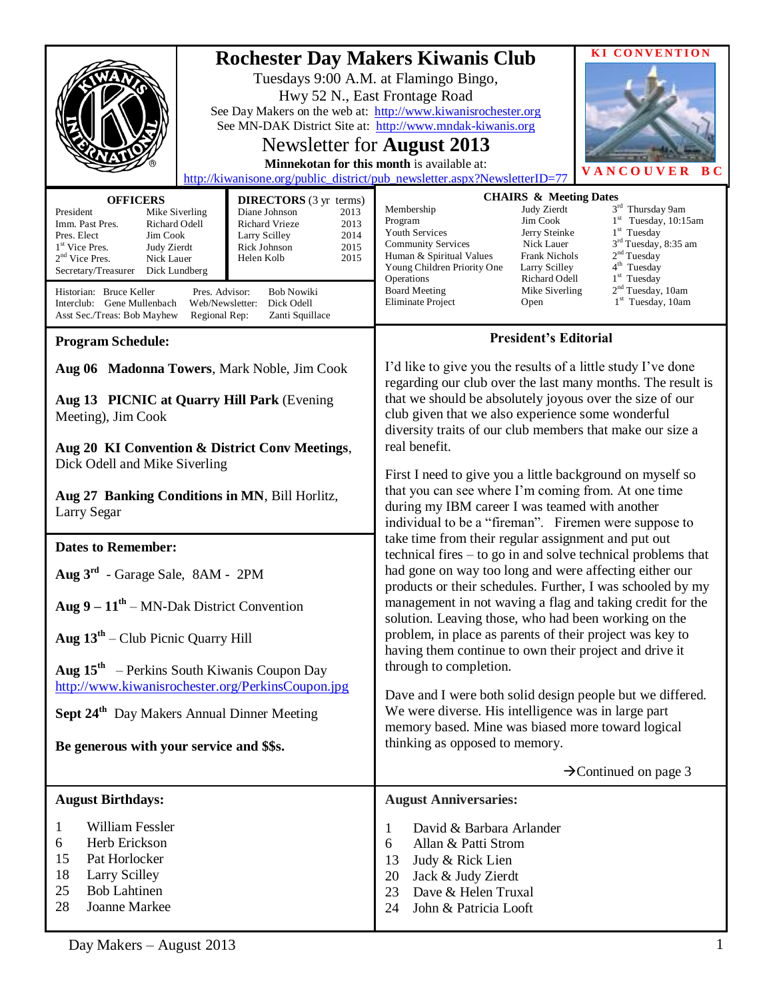|                                                                                                                                                                                                                                                                                                                                                                                                                                                                                                                                                                                                     | <b>KI CONVENTION</b><br><b>Rochester Day Makers Kiwanis Club</b><br>Tuesdays 9:00 A.M. at Flamingo Bingo,<br>Hwy 52 N., East Frontage Road<br>See Day Makers on the web at: http://www.kiwanisrochester.org<br>See MN-DAK District Site at: http://www.mndak-kiwanis.org<br>Newsletter for August 2013<br>Minnekotan for this month is available at:<br>VANCOUVER<br>в с<br>http://kiwanisone.org/public_district/pub_newsletter.aspx?NewsletterID=77                                                                                                                                                                     |  |
|-----------------------------------------------------------------------------------------------------------------------------------------------------------------------------------------------------------------------------------------------------------------------------------------------------------------------------------------------------------------------------------------------------------------------------------------------------------------------------------------------------------------------------------------------------------------------------------------------------|---------------------------------------------------------------------------------------------------------------------------------------------------------------------------------------------------------------------------------------------------------------------------------------------------------------------------------------------------------------------------------------------------------------------------------------------------------------------------------------------------------------------------------------------------------------------------------------------------------------------------|--|
| <b>OFFICERS</b><br><b>DIRECTORS</b> (3 yr terms)<br>President<br>Diane Johnson<br>Mike Siverling<br>2013<br>Richard Odell<br>2013<br>Imm. Past Pres.<br>Richard Vrieze<br>2014<br>Pres. Elect<br>Jim Cook<br>Larry Scilley<br>1 <sup>st</sup> Vice Pres.<br>2015<br>Judy Zierdt<br>Rick Johnson<br>$2nd$ Vice Pres.<br>2015<br>Nick Lauer<br>Helen Kolb<br>Secretary/Treasurer<br>Dick Lundberg<br><b>Bob Nowiki</b><br>Historian: Bruce Keller<br>Pres. Advisor:<br>Dick Odell<br>Interclub: Gene Mullenbach<br>Web/Newsletter:<br>Asst Sec./Treas: Bob Mayhew<br>Zanti Squillace<br>Regional Rep: | <b>CHAIRS &amp; Meeting Dates</b><br>3rd Thursday 9am<br>Membership<br>Judy Zierdt<br>$1st$ Tuesday, 10:15am<br>Program<br>Jim Cook<br>$1st$ Tuesday<br>Jerry Steinke<br><b>Youth Services</b><br>3 <sup>rd</sup> Tuesday, 8:35 am<br>Nick Lauer<br><b>Community Services</b><br>2 <sup>nd</sup> Tuesday<br>Frank Nichols<br>Human & Spiritual Values<br>4 <sup>th</sup> Tuesday<br>Young Children Priority One<br>Larry Scilley<br>$1st$ Tuesday<br>Richard Odell<br>Operations<br>2 <sup>nd</sup> Tuesday, 10am<br><b>Board Meeting</b><br>Mike Siverling<br>1 <sup>st</sup> Tuesday, 10am<br>Eliminate Project<br>Open |  |
| <b>Program Schedule:</b>                                                                                                                                                                                                                                                                                                                                                                                                                                                                                                                                                                            | <b>President's Editorial</b>                                                                                                                                                                                                                                                                                                                                                                                                                                                                                                                                                                                              |  |
| Aug 06 Madonna Towers, Mark Noble, Jim Cook<br>Aug 13 PICNIC at Quarry Hill Park (Evening<br>Meeting), Jim Cook<br>Aug 20 KI Convention & District Conv Meetings,                                                                                                                                                                                                                                                                                                                                                                                                                                   | I'd like to give you the results of a little study I've done<br>regarding our club over the last many months. The result is<br>that we should be absolutely joyous over the size of our<br>club given that we also experience some wonderful<br>diversity traits of our club members that make our size a<br>real benefit.                                                                                                                                                                                                                                                                                                |  |
| Dick Odell and Mike Siverling<br>Aug 27 Banking Conditions in MN, Bill Horlitz,<br>Larry Segar                                                                                                                                                                                                                                                                                                                                                                                                                                                                                                      | First I need to give you a little background on myself so<br>that you can see where I'm coming from. At one time<br>during my IBM career I was teamed with another<br>individual to be a "fireman". Firemen were suppose to<br>take time from their regular assignment and put out                                                                                                                                                                                                                                                                                                                                        |  |
| <b>Dates to Remember:</b>                                                                                                                                                                                                                                                                                                                                                                                                                                                                                                                                                                           | technical fires – to go in and solve technical problems that                                                                                                                                                                                                                                                                                                                                                                                                                                                                                                                                                              |  |
| Aug 3rd - Garage Sale, 8AM - 2PM                                                                                                                                                                                                                                                                                                                                                                                                                                                                                                                                                                    | had gone on way too long and were affecting either our<br>products or their schedules. Further, I was schooled by my                                                                                                                                                                                                                                                                                                                                                                                                                                                                                                      |  |
| Aug $9 - 11^{th}$ – MN-Dak District Convention                                                                                                                                                                                                                                                                                                                                                                                                                                                                                                                                                      | management in not waving a flag and taking credit for the<br>solution. Leaving those, who had been working on the                                                                                                                                                                                                                                                                                                                                                                                                                                                                                                         |  |
| Aug $13th$ – Club Picnic Quarry Hill                                                                                                                                                                                                                                                                                                                                                                                                                                                                                                                                                                | problem, in place as parents of their project was key to<br>having them continue to own their project and drive it                                                                                                                                                                                                                                                                                                                                                                                                                                                                                                        |  |
| <b>Aug 15<sup>th</sup></b> – Perkins South Kiwanis Coupon Day<br>http://www.kiwanisrochester.org/PerkinsCoupon.jpg<br>Sept 24 <sup>th</sup> Day Makers Annual Dinner Meeting                                                                                                                                                                                                                                                                                                                                                                                                                        | through to completion.<br>Dave and I were both solid design people but we differed.<br>We were diverse. His intelligence was in large part<br>memory based. Mine was biased more toward logical                                                                                                                                                                                                                                                                                                                                                                                                                           |  |
| Be generous with your service and \$\$s.                                                                                                                                                                                                                                                                                                                                                                                                                                                                                                                                                            | thinking as opposed to memory.                                                                                                                                                                                                                                                                                                                                                                                                                                                                                                                                                                                            |  |
|                                                                                                                                                                                                                                                                                                                                                                                                                                                                                                                                                                                                     | $\rightarrow$ Continued on page 3                                                                                                                                                                                                                                                                                                                                                                                                                                                                                                                                                                                         |  |
| <b>August Birthdays:</b>                                                                                                                                                                                                                                                                                                                                                                                                                                                                                                                                                                            | <b>August Anniversaries:</b>                                                                                                                                                                                                                                                                                                                                                                                                                                                                                                                                                                                              |  |
| William Fessler<br>1<br>Herb Erickson<br>6<br>15<br>Pat Horlocker<br>18<br>Larry Scilley<br>25<br><b>Bob Lahtinen</b><br>28<br>Joanne Markee                                                                                                                                                                                                                                                                                                                                                                                                                                                        | David & Barbara Arlander<br>1<br>Allan & Patti Strom<br>6<br>13<br>Judy & Rick Lien<br>20<br>Jack & Judy Zierdt<br>23<br>Dave & Helen Truxal<br>John & Patricia Looft<br>24                                                                                                                                                                                                                                                                                                                                                                                                                                               |  |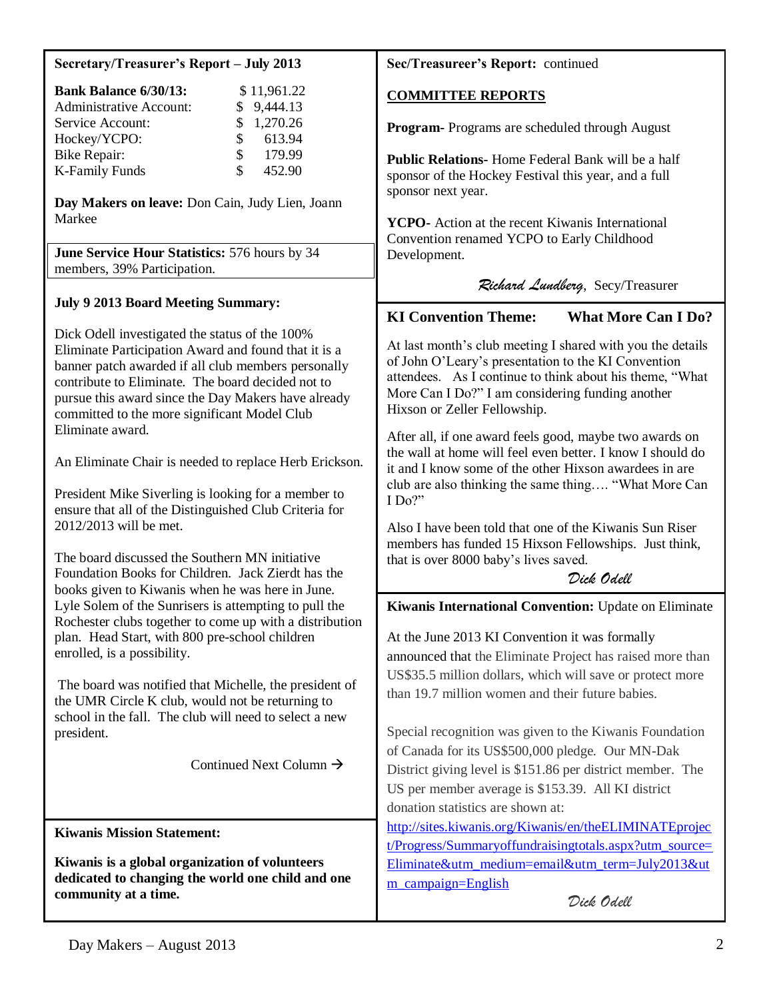### **Secretary/Treasurer's Report – July 2013**

| <b>Bank Balance 6/30/13:</b>   |               | \$11,961.22 |
|--------------------------------|---------------|-------------|
| <b>Administrative Account:</b> |               | \$9,444.13  |
| Service Account:               |               | \$1,270.26  |
| Hockey/YCPO:                   | $\mathcal{S}$ | 613.94      |
| Bike Repair:                   | $\mathcal{S}$ | 179.99      |
| <b>K-Family Funds</b>          | S.            | 452.90      |

**Day Makers on leave:** Don Cain, Judy Lien, Joann Markee

**June Service Hour Statistics:** 576 hours by 34 members, 39% Participation.

## **July 9 2013 Board Meeting Summary:**

Dick Odell investigated the status of the 100% Eliminate Participation Award and found that it is a banner patch awarded if all club members personally contribute to Eliminate. The board decided not to pursue this award since the Day Makers have already committed to the more significant Model Club Eliminate award.

An Eliminate Chair is needed to replace Herb Erickson.

President Mike Siverling is looking for a member to ensure that all of the Distinguished Club Criteria for 2012/2013 will be met.

The board discussed the Southern MN initiative Foundation Books for Children. Jack Zierdt has the books given to Kiwanis when he was here in June. Lyle Solem of the Sunrisers is attempting to pull the Rochester clubs together to come up with a distribution plan. Head Start, with 800 pre-school children enrolled, is a possibility.

The board was notified that Michelle, the president of the UMR Circle K club, would not be returning to school in the fall. The club will need to select a new president.

Continued Next Column  $\rightarrow$ 

**Kiwanis Mission Statement:**

**Kiwanis is a global organization of volunteers dedicated to changing the world one child and one community at a time.**

**Sec/Treasureer's Report:** continued

## **COMMITTEE REPORTS**

**Program-** Programs are scheduled through August

**Public Relations-** Home Federal Bank will be a half sponsor of the Hockey Festival this year, and a full sponsor next year.

**YCPO-** Action at the recent Kiwanis International Convention renamed YCPO to Early Childhood Development.

*Richard Lundberg*, Secy/Treasurer

# **KI Convention Theme: What More Can I Do?**

At last month's club meeting I shared with you the details of John O'Leary's presentation to the KI Convention attendees. As I continue to think about his theme, "What More Can I Do?" I am considering funding another Hixson or Zeller Fellowship.

After all, if one award feels good, maybe two awards on the wall at home will feel even better. I know I should do it and I know some of the other Hixson awardees in are club are also thinking the same thing…. "What More Can I Do?"

Also I have been told that one of the Kiwanis Sun Riser members has funded 15 Hixson Fellowships. Just think, that is over 8000 baby's lives saved.

*Dick Odell*

**Kiwanis International Convention:** Update on Eliminate

At the June 2013 KI Convention it was formally announced that the Eliminate Project has raised more than US\$35.5 million dollars, which will save or protect more than 19.7 million women and their future babies.

Special recognition was given to the Kiwanis Foundation of Canada for its US\$500,000 pledge. Our MN-Dak District giving level is \$151.86 per district member. The US per member average is \$153.39. All KI district donation statistics are shown at:

[http://sites.kiwanis.org/Kiwanis/en/theELIMINATEprojec](http://sites.kiwanis.org/Kiwanis/en/theELIMINATEproject/Progress/Summaryoffundraisingtotals.aspx?utm_source=Eliminate&utm_medium=email&utm_term=July2013&utm_campaign=English) [t/Progress/Summaryoffundraisingtotals.aspx?utm\\_source=](http://sites.kiwanis.org/Kiwanis/en/theELIMINATEproject/Progress/Summaryoffundraisingtotals.aspx?utm_source=Eliminate&utm_medium=email&utm_term=July2013&utm_campaign=English) [Eliminate&utm\\_medium=email&utm\\_term=July2013&ut](http://sites.kiwanis.org/Kiwanis/en/theELIMINATEproject/Progress/Summaryoffundraisingtotals.aspx?utm_source=Eliminate&utm_medium=email&utm_term=July2013&utm_campaign=English) [m\\_campaign=English](http://sites.kiwanis.org/Kiwanis/en/theELIMINATEproject/Progress/Summaryoffundraisingtotals.aspx?utm_source=Eliminate&utm_medium=email&utm_term=July2013&utm_campaign=English)

*Dick Odell*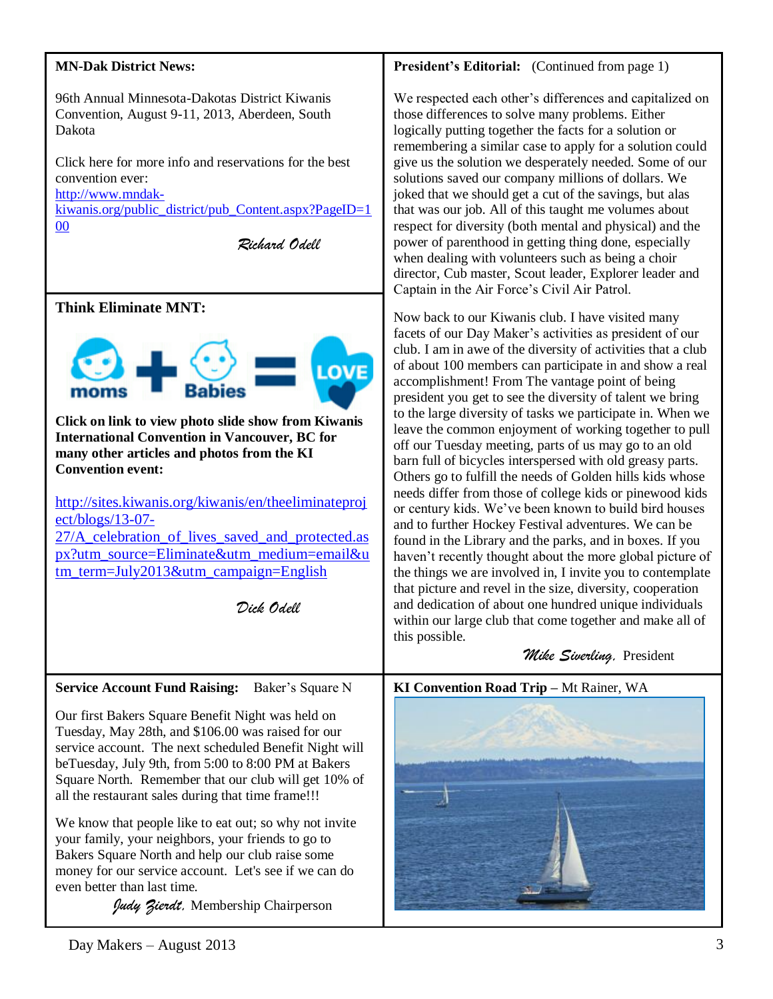# **MN-Dak District News: President's Editorial:** (Continued from page 1) 96th Annual Minnesota-Dakotas District Kiwanis Convention, August 9-11, 2013, Aberdeen, South those differences to solve many problems. Either Dakota logically putting together the facts for a solution or Click here for more info and reservations for the best convention ever: [http://www.mndak](http://www.mndak-kiwanis.org/public_district/pub_Content.aspx?PageID=100)[kiwanis.org/public\\_district/pub\\_Content.aspx?PageID=1](http://www.mndak-kiwanis.org/public_district/pub_Content.aspx?PageID=100) [00](http://www.mndak-kiwanis.org/public_district/pub_Content.aspx?PageID=100) *Richard Odell* when dealing with volunteers such as being a choir Captain in the Air Force's Civil Air Patrol. **Think Eliminate MNT:** Now back to our Kiwanis club. I have visited many **LOVE** accomplishment! From The vantage point of being **Click on link to view photo slide show from Kiwanis International Convention in Vancouver, BC for many other articles and photos from the KI Convention event:**  [http://sites.kiwanis.org/kiwanis/en/theeliminateproj](http://sites.kiwanis.org/kiwanis/en/theeliminateproject/blogs/13-07-27/A_celebration_of_lives_saved_and_protected.aspx?utm_source=Eliminate&utm_medium=email&utm_term=July2013&utm_campaign=English) [ect/blogs/13-07-](http://sites.kiwanis.org/kiwanis/en/theeliminateproject/blogs/13-07-27/A_celebration_of_lives_saved_and_protected.aspx?utm_source=Eliminate&utm_medium=email&utm_term=July2013&utm_campaign=English) [27/A\\_celebration\\_of\\_lives\\_saved\\_and\\_protected.as](http://sites.kiwanis.org/kiwanis/en/theeliminateproject/blogs/13-07-27/A_celebration_of_lives_saved_and_protected.aspx?utm_source=Eliminate&utm_medium=email&utm_term=July2013&utm_campaign=English) [px?utm\\_source=Eliminate&utm\\_medium=email&u](http://sites.kiwanis.org/kiwanis/en/theeliminateproject/blogs/13-07-27/A_celebration_of_lives_saved_and_protected.aspx?utm_source=Eliminate&utm_medium=email&utm_term=July2013&utm_campaign=English) [tm\\_term=July2013&utm\\_campaign=English](http://sites.kiwanis.org/kiwanis/en/theeliminateproject/blogs/13-07-27/A_celebration_of_lives_saved_and_protected.aspx?utm_source=Eliminate&utm_medium=email&utm_term=July2013&utm_campaign=English) *Dick Odell* this possible.  *Mike Siverling,* President **Service Account Fund Raising:** Baker's Square N **KI Convention Road Trip –** Mt Rainer, WA Our first Bakers Square Benefit Night was held on Tuesday, May 28th, and \$106.00 was raised for our service account. The next scheduled Benefit Night will beTuesday, July 9th, from 5:00 to 8:00 PM at Bakers Square North. Remember that our club will get 10% of all the restaurant sales during that time frame!!! We know that people like to eat out; so why not invite your family, your neighbors, your friends to go to Bakers Square North and help our club raise some

*Judy Zierdt,* Membership Chairperson

money for our service account. Let's see if we can do

We respected each other's differences and capitalized on remembering a similar case to apply for a solution could give us the solution we desperately needed. Some of our solutions saved our company millions of dollars. We joked that we should get a cut of the savings, but alas that was our job. All of this taught me volumes about respect for diversity (both mental and physical) and the power of parenthood in getting thing done, especially director, Cub master, Scout leader, Explorer leader and

facets of our Day Maker's activities as president of our club. I am in awe of the diversity of activities that a club of about 100 members can participate in and show a real president you get to see the diversity of talent we bring to the large diversity of tasks we participate in. When we leave the common enjoyment of working together to pull off our Tuesday meeting, parts of us may go to an old barn full of bicycles interspersed with old greasy parts. Others go to fulfill the needs of Golden hills kids whose needs differ from those of college kids or pinewood kids or century kids. We've been known to build bird houses and to further Hockey Festival adventures. We can be found in the Library and the parks, and in boxes. If you haven't recently thought about the more global picture of the things we are involved in, I invite you to contemplate that picture and revel in the size, diversity, cooperation and dedication of about one hundred unique individuals within our large club that come together and make all of

# 

even better than last time.